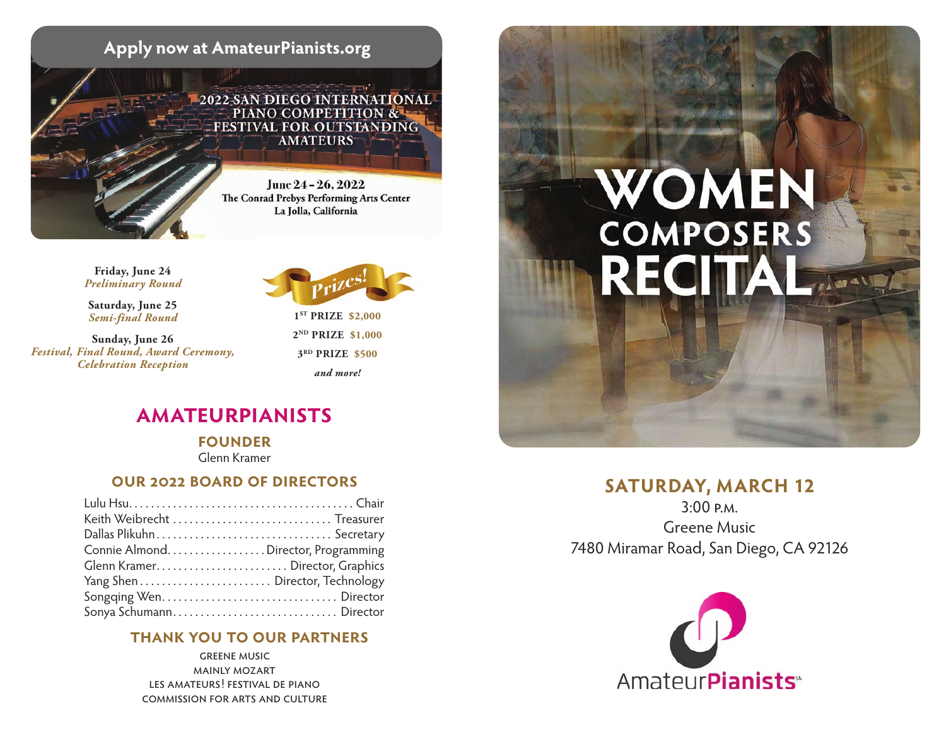

#### **Friday, June 24** *Preliminary Round*

**Saturday, June 25** *Semi-final Round*

**Sunday, June 26** *Festival, Final Round, Award Ceremony, Celebration Reception*



**1ST PRIZE \$2,000 2ND PRIZE \$1,000 3RD PRIZE \$500** *and more!*

# **amateurpianists**

**founder**  Glenn Kramer

#### **our 2022 board of directors**

| Keith Weibrecht  Treasurer         |  |
|------------------------------------|--|
| Dallas Plikuhn Secretary           |  |
| Connie AlmondDirector, Programming |  |
|                                    |  |
|                                    |  |
|                                    |  |
| Sonya Schumann Director            |  |

#### **thank you to our partners**

greene music mainly mozart les amateurs! festival de piano commission for arts and culture



## **SATURDAY, MARCH 12**

3:00 p.m. Greene Music 7480 Miramar Road, San Diego, CA 92126